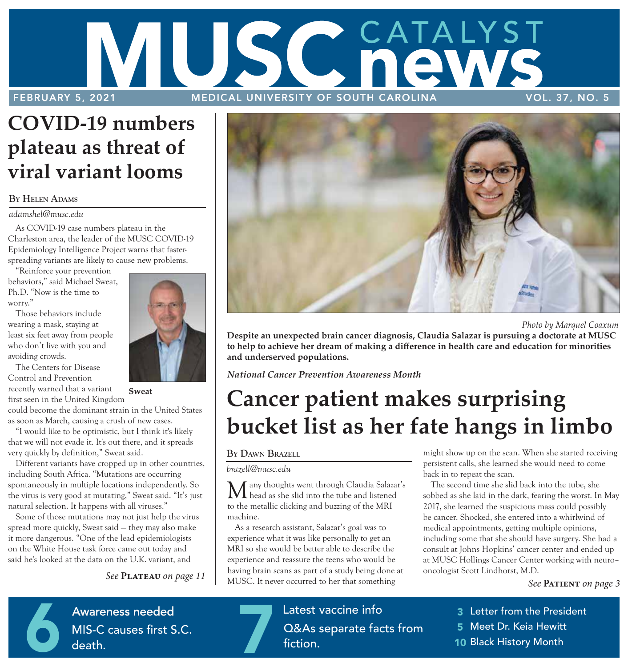# AUSC GATALYST FEBRUARY 5, 2021 MEDICAL UNIVERSITY OF SOUTH CAROLINA VOL. 37, NO. 5

# **COVID-19 numbers plateau as threat of viral variant looms**

### **BY HELEN ADAMS**

### *adamshel@musc.edu*

As COVID-19 case numbers plateau in the Charleston area, the leader of the MUSC COVID-19 Epidemiology Intelligence Project warns that fasterspreading variants are likely to cause new problems.

"Reinforce your prevention behaviors," said Michael Sweat, Ph.D. "Now is the time to worry."

Those behaviors include wearing a mask, staying at least six feet away from people who don't live with you and avoiding crowds.

The Centers for Disease Control and Prevention recently warned that a variant **Sweat**  first seen in the United Kingdom

could become the dominant strain in the United States as soon as March, causing a crush of new cases.

"I would like to be optimistic, but I think it's likely that we will not evade it. It's out there, and it spreads very quickly by definition," Sweat said.

Different variants have cropped up in other countries, including South Africa. "Mutations are occurring spontaneously in multiple locations independently. So the virus is very good at mutating," Sweat said. "It's just natural selection. It happens with all viruses."

Some of those mutations may not just help the virus spread more quickly, Sweat said — they may also make it more dangerous. "One of the lead epidemiologists on the White House task force came out today and said he's looked at the data on the U.K. variant, and

*See* **Plateau** *on page 11* 



 *Photo by Marquel Coaxum*

**Despite an unexpected brain cancer diagnosis, Claudia Salazar is pursuing a doctorate at MUSC to help to achieve her dream of making a difference in health care and education for minorities and underserved populations.** 

*National Cancer Prevention Awareness Month* 

# **Cancer patient makes surprising bucket list as her fate hangs in limbo**

### **BY DAWN BRAZELL**

### *brazell@musc.edu*

Many thoughts went through Claudia Salazar's head as she slid into the tube and listened to the metallic clicking and buzzing of the MRI machine.

As a research assistant, Salazar's goal was to experience what it was like personally to get an MRI so she would be better able to describe the experience and reassure the teens who would be having brain scans as part of a study being done at MUSC. It never occurred to her that something

might show up on the scan. When she started receiving persistent calls, she learned she would need to come back in to repeat the scan.

The second time she slid back into the tube, she sobbed as she laid in the dark, fearing the worst. In May 2017, she learned the suspicious mass could possibly be cancer. Shocked, she entered into a whirlwind of medical appointments, getting multiple opinions, including some that she should have surgery. She had a consult at Johns Hopkins' cancer center and ended up at MUSC Hollings Cancer Center working with neuro– oncologist Scott Lindhorst, M.D.

*See* **Patient** *on page 3* 

**Patient Gift A**WAICITIESS HEEUE MIS-C cause Awareness needed<br>MIS-C causes first S<br>death. MIS-C causes first S.C. death.

**School–based clinic**  First–of–its–kind clinic opens in **Q&As separa** Latest vaccine info<br>Q&As separate facts from<br>fiction. fiction.

3 Letter from the President

- 5 Meet Dr. Keia Hewitt
- 10 Black History Month

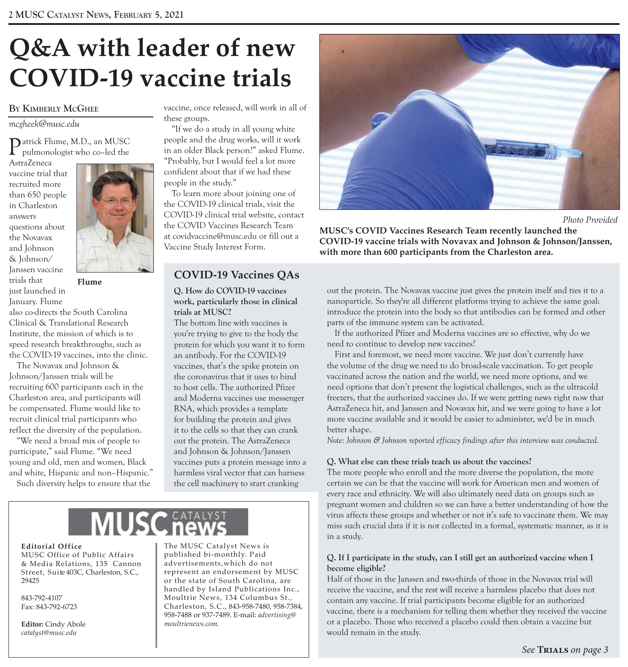# **Q&A with leader of new COVID-19 vaccine trials**

### **BY KIMBERLY MCGHEE**

*mcgheek@musc.edu* 

Patrick Flume, M.D., an MUSC  $\Gamma$  pulmonologist who co–led the

AstraZeneca vaccine trial that recruited more than 650 people in Charleston answers questions about the Novavax and Johnson & Johnson/ Janssen vaccine trials that **Flume**  just launched in January. Flume



also co-directs the South Carolina Clinical & Translational Research Institute, the mission of which is to speed research breakthroughs, such as the COVID-19 vaccines, into the clinic.

The Novavax and Johnson & Johnson/Janssen trials will be recruiting 600 participants each in the Charleston area, and participants will be compensated. Flume would like to recruit clinical trial participants who reflect the diversity of the population.

"We need a broad mix of people to participate," said Flume. "We need young and old, men and women, Black and white, Hispanic and non–Hispanic."

Such diversity helps to ensure that the

vaccine, once released, will work in all of these groups.

"If we do a study in all young white people and the drug works, will it work in an older Black person?" asked Flume. "Probably, but I would feel a lot more confident about that if we had these people in the study."

To learn more about joining one of the COVID-19 clinical trials, visit the COVID-19 clinical trial website, contact the COVID Vaccines Research Team at covidvaccine@musc.edu or fill out a Vaccine Study Interest Form.

## **COVID-19 Vaccines QAs**

**Q. How do COVID-19 vaccines work, particularly those in clinical trials at MUSC?** 

The bottom line with vaccines is you're trying to give to the body the protein for which you want it to form an antibody. For the COVID-19 vaccines, that's the spike protein on the coronavirus that it uses to bind to host cells. The authorized Pfizer and Moderna vaccines use messenger RNA, which provides a template for building the protein and gives it to the cells so that they can crank out the protein. The AstraZeneca and Johnson & Johnson/Janssen vaccines puts a protein message into a harmless viral vector that can harness the cell machinery to start cranking

### **Editorial Office**

MUSC Office of Public Affairs & Media Relations, 135 Cannon<br>Street, Suite 403C, Charleston, S.C.,

**Editor:** Cindy Abole *catalyst@musc.edu* 

The MUSC Catalyst News is published bi-monthly. Paid<br>advertisements, which do not Street, Suite 403C, Charleston, S.C., performance and endorsement by MUSC 29425 or the state of South Carolina, are handled by Island Publications Inc., 843-792-4107 Moultrie News, 134 Columbus St., Fax: 843-792-6723 Charles ton, S.C., 843-958-7480, 958-7384, 958-7488 or 937-7489. E-mail: *advertising@* 



 *Photo Provided* 

**MUSC's COVID Vaccines Research Team recently launched the COVID-19 vaccine trials with Novavax and Johnson & Johnson/Janssen, with more than 600 participants from the Charleston area.** 

out the protein. The Novavax vaccine just gives the protein itself and ties it to a nanoparticle. So they're all different platforms trying to achieve the same goal: introduce the protein into the body so that antibodies can be formed and other parts of the immune system can be activated.

If the authorized Pfizer and Moderna vaccines are so effective, why do we need to continue to develop new vaccines?

First and foremost, we need more vaccine. We just don't currently have the volume of the drug we need to do broad-scale vaccination. To get people vaccinated across the nation and the world, we need more options, and we need options that don't present the logistical challenges, such as the ultracold freezers, that the authorized vaccines do. If we were getting news right now that AstraZeneca hit, and Janssen and Novavax hit, and we were going to have a lot more vaccine available and it would be easier to administer, we'd be in much better shape.

*Note: Johnson & Johnson reported efficacy findings after this interview was conducted.* 

### **Q. What else can these trials teach us about the vaccines?**

The more people who enroll and the more diverse the population, the more certain we can be that the vaccine will work for American men and women of every race and ethnicity. We will also ultimately need data on groups such as pregnant women and children so we can have a better understanding of how the virus affects these groups and whether or not it's safe to vaccinate them. We may miss such crucial data if it is not collected in a formal, systematic manner, as it is in a study.

### **Q. If I participate in the study, can I still get an authorized vaccine when I become eligible?**

Half of those in the Janssen and two-thirds of those in the Novavax trial will receive the vaccine, and the rest will receive a harmless placebo that does not contain any vaccine. If trial participants become eligible for an authorized vaccine, there is a mechanism for telling them whether they received the vaccine or a placebo. Those who received a placebo could then obtain a vaccine but would remain in the study.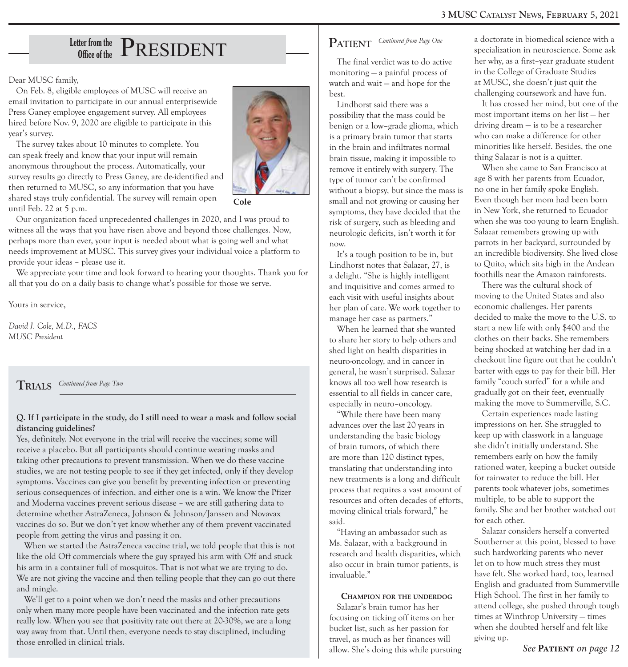# Letter from the  $\rm \textbf{P}$ RESIDENT

Dear MUSC family,

On Feb. 8, eligible employees of MUSC will receive an email invitation to participate in our annual enterprisewide Press Ganey employee engagement survey. All employees hired before Nov. 9, 2020 are eligible to participate in this year's survey.

The survey takes about 10 minutes to complete. You can speak freely and know that your input will remain anonymous throughout the process. Automatically, your survey results go directly to Press Ganey, are de-identified and then returned to MUSC, so any information that you have shared stays truly confidential. The survey will remain open until Feb. 22 at 5 p.m.



**Cole** 

Our organization faced unprecedented challenges in 2020, and I was proud to witness all the ways that you have risen above and beyond those challenges. Now, perhaps more than ever, your input is needed about what is going well and what needs improvement at MUSC. This survey gives your individual voice a platform to provide your ideas – please use it.

We appreciate your time and look forward to hearing your thoughts. Thank you for all that you do on a daily basis to change what's possible for those we serve.

Yours in service,

*David J. Cole, M.D., FACS MUSC President* 

### $\int$ **RIALS** *Continued from Page Two*

### **Q. If I participate in the study, do I still need to wear a mask and follow social distancing guidelines?**

Yes, definitely. Not everyone in the trial will receive the vaccines; some will receive a placebo. But all participants should continue wearing masks and taking other precautions to prevent transmission. When we do these vaccine studies, we are not testing people to see if they get infected, only if they develop symptoms. Vaccines can give you benefit by preventing infection or preventing serious consequences of infection, and either one is a win. We know the Pfizer and Moderna vaccines prevent serious disease – we are still gathering data to determine whether AstraZeneca, Johnson & Johnson/Janssen and Novavax vaccines do so. But we don't yet know whether any of them prevent vaccinated people from getting the virus and passing it on.

When we started the AstraZeneca vaccine trial, we told people that this is not like the old Off commercials where the guy sprayed his arm with Off and stuck his arm in a container full of mosquitos. That is not what we are trying to do. We are not giving the vaccine and then telling people that they can go out there and mingle.

We'll get to a point when we don't need the masks and other precautions only when many more people have been vaccinated and the infection rate gets really low. When you see that positivity rate out there at 20-30%, we are a long way away from that. Until then, everyone needs to stay disciplined, including those enrolled in clinical trials.

## $\textbf{PATH} \quad \textit{Continued from Page One}$

The final verdict was to do active monitoring — a painful process of watch and wait — and hope for the best.

Lindhorst said there was a possibility that the mass could be benign or a low–grade glioma, which is a primary brain tumor that starts in the brain and infiltrates normal brain tissue, making it impossible to remove it entirely with surgery. The type of tumor can't be confirmed without a biopsy, but since the mass is small and not growing or causing her symptoms, they have decided that the risk of surgery, such as bleeding and neurologic deficits, isn't worth it for now.

It's a tough position to be in, but Lindhorst notes that Salazar, 27, is a delight. "She is highly intelligent and inquisitive and comes armed to each visit with useful insights about her plan of care. We work together to manage her case as partners."

When he learned that she wanted to share her story to help others and shed light on health disparities in neuro-oncology, and in cancer in general, he wasn't surprised. Salazar knows all too well how research is essential to all fields in cancer care, especially in neuro–oncology.

"While there have been many advances over the last 20 years in understanding the basic biology of brain tumors, of which there are more than 120 distinct types, translating that understanding into new treatments is a long and difficult process that requires a vast amount of resources and often decades of efforts, moving clinical trials forward," he said.

"Having an ambassador such as Ms. Salazar, with a background in research and health disparities, which also occur in brain tumor patients, is invaluable."

### **CHAMPION FOR THE UNDERDOG**

Salazar's brain tumor has her focusing on ticking off items on her bucket list, such as her passion for travel, as much as her finances will allow. She's doing this while pursuing

a doctorate in biomedical science with a specialization in neuroscience. Some ask her why, as a first–year graduate student in the College of Graduate Studies at MUSC, she doesn't just quit the challenging coursework and have fun.

It has crossed her mind, but one of the most important items on her list — her driving dream — is to be a researcher who can make a difference for other minorities like herself. Besides, the one thing Salazar is not is a quitter.

When she came to San Francisco at age 8 with her parents from Ecuador, no one in her family spoke English. Even though her mom had been born in New York, she returned to Ecuador when she was too young to learn English. Salazar remembers growing up with parrots in her backyard, surrounded by an incredible biodiversity. She lived close to Quito, which sits high in the Andean foothills near the Amazon rainforests.

There was the cultural shock of moving to the United States and also economic challenges. Her parents decided to make the move to the U.S. to start a new life with only \$400 and the clothes on their backs. She remembers being shocked at watching her dad in a checkout line figure out that he couldn't barter with eggs to pay for their bill. Her family "couch surfed" for a while and gradually got on their feet, eventually making the move to Summerville, S.C.

Certain experiences made lasting impressions on her. She struggled to keep up with classwork in a language she didn't initially understand. She remembers early on how the family rationed water, keeping a bucket outside for rainwater to reduce the bill. Her parents took whatever jobs, sometimes multiple, to be able to support the family. She and her brother watched out for each other.

Salazar considers herself a converted Southerner at this point, blessed to have such hardworking parents who never let on to how much stress they must have felt. She worked hard, too, learned English and graduated from Summerville High School. The first in her family to attend college, she pushed through tough times at Winthrop University — times when she doubted herself and felt like giving up.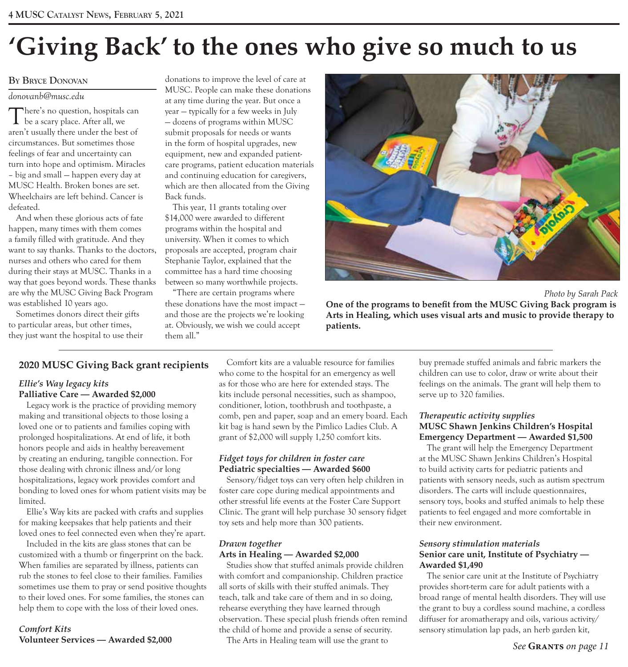# **'Giving Back' to the ones who give so much to us**

### **BY BRYCE DONOVAN**

### *donovanb@musc.edu*

There's no question, hospitals can be a scary place. After all, we aren't usually there under the best of circumstances. But sometimes those feelings of fear and uncertainty can turn into hope and optimism. Miracles – big and small — happen every day at MUSC Health. Broken bones are set. Wheelchairs are left behind. Cancer is defeated.

And when these glorious acts of fate happen, many times with them comes a family filled with gratitude. And they want to say thanks. Thanks to the doctors, nurses and others who cared for them during their stays at MUSC. Thanks in a way that goes beyond words. These thanks are why the MUSC Giving Back Program was established 10 years ago.

Sometimes donors direct their gifts to particular areas, but other times, they just want the hospital to use their

donations to improve the level of care at MUSC. People can make these donations at any time during the year. But once a year — typically for a few weeks in July — dozens of programs within MUSC submit proposals for needs or wants in the form of hospital upgrades, new equipment, new and expanded patientcare programs, patient education materials and continuing education for caregivers, which are then allocated from the Giving Back funds.

This year, 11 grants totaling over \$14,000 were awarded to different programs within the hospital and university. When it comes to which proposals are accepted, program chair Stephanie Taylor, explained that the committee has a hard time choosing between so many worthwhile projects.

"There are certain programs where these donations have the most impact and those are the projects we're looking at. Obviously, we wish we could accept them all."



 *Photo by Sarah Pack* **One of the programs to benefit from the MUSC Giving Back program is Arts in Healing, which uses visual arts and music to provide therapy to patients.** 

### **2020 MUSC Giving Back grant recipients**

### *Ellie's Way legacy kits* **Palliative Care — Awarded \$2,000**

Legacy work is the practice of providing memory making and transitional objects to those losing a loved one or to patients and families coping with prolonged hospitalizations. At end of life, it both honors people and aids in healthy bereavement by creating an enduring, tangible connection. For those dealing with chronic illness and/or long hospitalizations, legacy work provides comfort and bonding to loved ones for whom patient visits may be limited.

Ellie's Way kits are packed with crafts and supplies for making keepsakes that help patients and their loved ones to feel connected even when they're apart.

Included in the kits are glass stones that can be customized with a thumb or fingerprint on the back. When families are separated by illness, patients can rub the stones to feel close to their families. Families sometimes use them to pray or send positive thoughts to their loved ones. For some families, the stones can help them to cope with the loss of their loved ones.

### *Comfort Kits*  **Volunteer Services — Awarded \$2,000**

Comfort kits are a valuable resource for families who come to the hospital for an emergency as well as for those who are here for extended stays. The kits include personal necessities, such as shampoo, conditioner, lotion, toothbrush and toothpaste, a comb, pen and paper, soap and an emery board. Each kit bag is hand sewn by the Pimlico Ladies Club. A grant of \$2,000 will supply 1,250 comfort kits.

### *Fidget toys for children in foster care* **Pediatric specialties — Awarded \$600**

Sensory/fidget toys can very often help children in foster care cope during medical appointments and other stressful life events at the Foster Care Support Clinic. The grant will help purchase 30 sensory fidget toy sets and help more than 300 patients.

### *Drawn together*

### **Arts in Healing — Awarded \$2,000**

Studies show that stuffed animals provide children with comfort and companionship. Children practice all sorts of skills with their stuffed animals. They teach, talk and take care of them and in so doing, rehearse everything they have learned through observation. These special plush friends often remind the child of home and provide a sense of security.

The Arts in Healing team will use the grant to

buy premade stuffed animals and fabric markers the children can use to color, draw or write about their feelings on the animals. The grant will help them to serve up to 320 families.

### *Therapeutic activity supplies* **MUSC Shawn Jenkins Children's Hospital Emergency Department — Awarded \$1,500**

The grant will help the Emergency Department at the MUSC Shawn Jenkins Children's Hospital to build activity carts for pediatric patients and patients with sensory needs, such as autism spectrum disorders. The carts will include questionnaires, sensory toys, books and stuffed animals to help these patients to feel engaged and more comfortable in their new environment.

### *Sensory stimulation materials* **Senior care unit, Institute of Psychiatry — Awarded \$1,490**

The senior care unit at the Institute of Psychiatry provides short-term care for adult patients with a broad range of mental health disorders. They will use the grant to buy a cordless sound machine, a cordless diffuser for aromatherapy and oils, various activity/ sensory stimulation lap pads, an herb garden kit,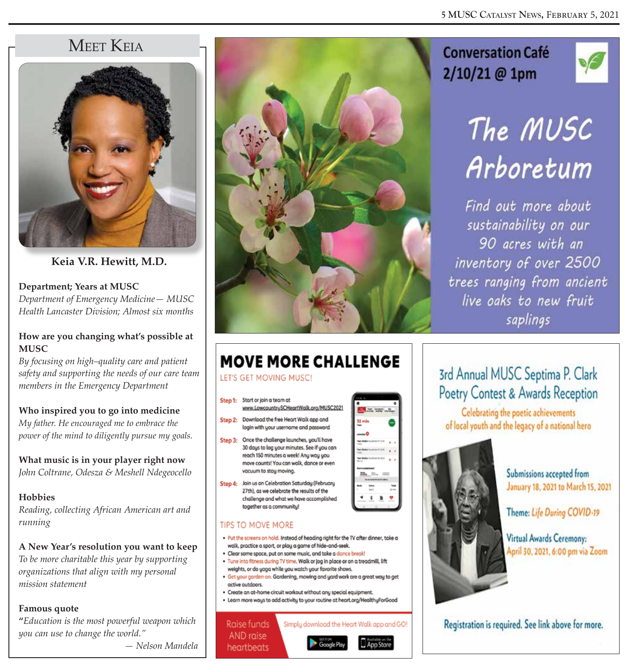## MEET KEIA



**Keia V.R. Hewitt, M.D.** 

**Department; Years at MUSC** *Department of Emergency Medicine— MUSC Health Lancaster Division; Almost six months* 

### **How are you changing what's possible at MUSC**

*By focusing on high–quality care and patient safety and supporting the needs of our care team members in the Emergency Department* 

### **Who inspired you to go into medicine**

*My father. He encouraged me to embrace the power of the mind to diligently pursue my goals.* 

**What music is in your player right now** *John Coltrane, Odesza & Meshell Ndegeocello* 

### **Hobbies**

*Reading, collecting African American art and running* 

**A New Year's resolution you want to keep** *To be more charitable this year by supporting organizations that align with my personal mission statement* 

### **Famous quote**

**"***Education is the most powerful weapon which you can use to change the world."*

 *— Nelson Mandela* 



## **Conversation Café** 2/10/21 @ 1pm



# The MUSC Arboretum

Find out more about sustainability on our 90 acres with an inventory of over 2500 trees ranging from ancient live oaks to new fruit saplings

# **MOVE MORE CHALLENGE**

### LET'S GET MOVING MUSC!

- Start or join a team at Step 1: www.LowcountrySCHeartWalk.org/MUSC2021
- Step 2: Download the free Heart Walk app and login with your username and password.
- Step 3: Once the challenge launches, you'll have 30 days to log your minutes. See if you can reach 150 minutes a week! Any way you move counts! You can walk, dance or even vacuum to stay moving.
- Step 4: Join us on Celebration Saturday (February 27th), as we celebrate the results of the challenge and what we have accomplished together as a community!

### **TIPS TO MOVE MORE**

- . Put the screens on hold. Instead of heading right for the TV after dinner, take a walk, practice a sport, or play a game of hide-and-seek.
- · Clear some space, put on some music, and take a dance break! . Tune into fitness during TV time. Walk or jog in place or on a treadmill, lift
- weights, or do yoga while you watch your favorite shows. . Get your garden on. Gardening, mowing and yard work are a great way to get active outdoors.
- · Create an at-home circuit workout without any special equipment.
- Learn more ways to add activity to your routine at heart.org/HealthyForGood

Simply download the Heart Walk app and GO!

Raise funds AND raise heartbeats



## 3rd Annual MUSC Septima P. Clark Poetry Contest & Awards Reception

Celebrating the poetic achievements of local youth and the legacy of a national hero



Submissions accepted from January 18, 2021 to March 15, 2021

Theme: Life During COVID-19

Virtual Awards Ceremony: April 30, 2021, 6:00 pm via Zoom

Registration is required. See link above for more.

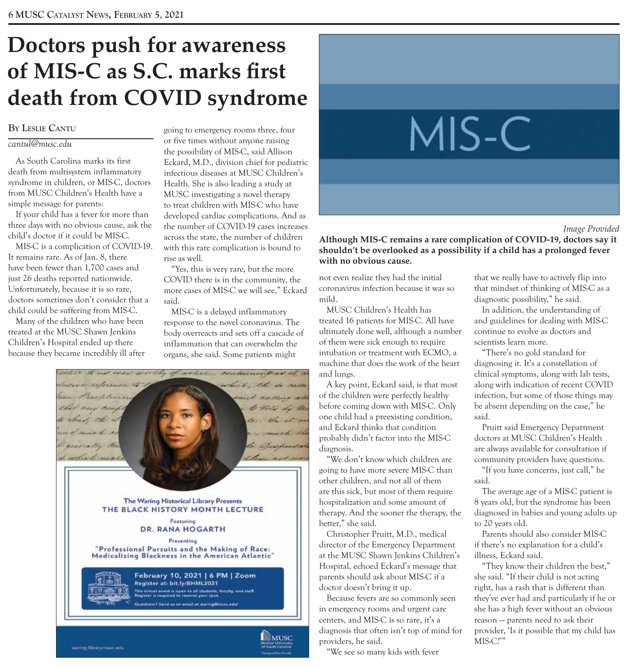# **Doctors push for awareness of MIS-C as S.C. marks first death from COVID syndrome**

### **BY LESLIE CANTU**

### *cantul@musc.edu*

As South Carolina marks its first death from multisystem inflammatory syndrome in children, or MIS-C, doctors from MUSC Children's Health have a simple message for parents:

If your child has a fever for more than three days with no obvious cause, ask the child's doctor if it could be MIS-C.

MIS-C is a complication of COVID-19. It remains rare. As of Jan. 8, there have been fewer than 1,700 cases and just 26 deaths reported nationwide. Unfortunately, because it is so rare, doctors sometimes don't consider that a child could be suffering from MIS-C.

Many of the children who have been treated at the MUSC Shawn Jenkins Children's Hospital ended up there because they became incredibly ill after going to emergency rooms three, four or five times without anyone raising the possibility of MIS-C, said Allison Eckard, M.D., division chief for pediatric infectious diseases at MUSC Children's Health. She is also leading a study at MUSC investigating a novel therapy to treat children with MIS-C who have developed cardiac complications. And as the number of COVID-19 cases increases across the state, the number of children with this rare complication is bound to rise as well.

"Yes, this is very rare, but the more COVID there is in the community, the more cases of MIS-C we will see," Eckard said.

MIS-C is a delayed inflammatory response to the novel coronavirus. The body overreacts and sets off a cascade of inflammation that can overwhelm the organs, she said. Some patients might





### *Image Provided*

**Although MIS-C remains a rare complication of COVID-19, doctors say it shouldn't be overlooked as a possibility if a child has a prolonged fever with no obvious cause.** 

not even realize they had the initial coronavirus infection because it was so mild.

MUSC Children's Health has treated 16 patients for MIS-C. All have ultimately done well, although a number of them were sick enough to require intubation or treatment with ECMO, a machine that does the work of the heart and lungs.

A key point, Eckard said, is that most of the children were perfectly healthy before coming down with MIS-C. Only one child had a preexisting condition, and Eckard thinks that condition probably didn't factor into the MIS-C diagnosis.

"We don't know which children are going to have more severe MIS-C than other children, and not all of them are this sick, but most of them require hospitalization and some amount of therapy. And the sooner the therapy, the better," she said.

Christopher Pruitt, M.D., medical director of the Emergency Department at the MUSC Shawn Jenkins Children's Hospital, echoed Eckard's message that parents should ask about MIS-C if a doctor doesn't bring it up.

Because fevers are so commonly seen in emergency rooms and urgent care centers, and MIS-C is so rare, it's a diagnosis that often isn't top of mind for providers, he said.

"We see so many kids with fever

that we really have to actively flip into that mindset of thinking of MIS-C as a diagnostic possibility," he said.

In addition, the understanding of and guidelines for dealing with MIS-C continue to evolve as doctors and scientists learn more.

"There's no gold standard for diagnosing it. It's a constellation of clinical symptoms, along with lab tests, along with indication of recent COVID infection, but some of those things may be absent depending on the case," he said.

Pruitt said Emergency Department doctors at MUSC Children's Health are always available for consultation if community providers have questions.

"If you have concerns, just call," he said.

The average age of a MIS-C patient is 8 years old, but the syndrome has been diagnosed in babies and young adults up to 20 years old.

Parents should also consider MIS-C if there's no explanation for a child's illness, Eckard said.

"They know their children the best," she said. "If their child is not acting right, has a rash that is different than they've ever had and particularly if he or she has a high fever without an obvious reason — parents need to ask their provider, 'Is it possible that my child has MIS-C?'"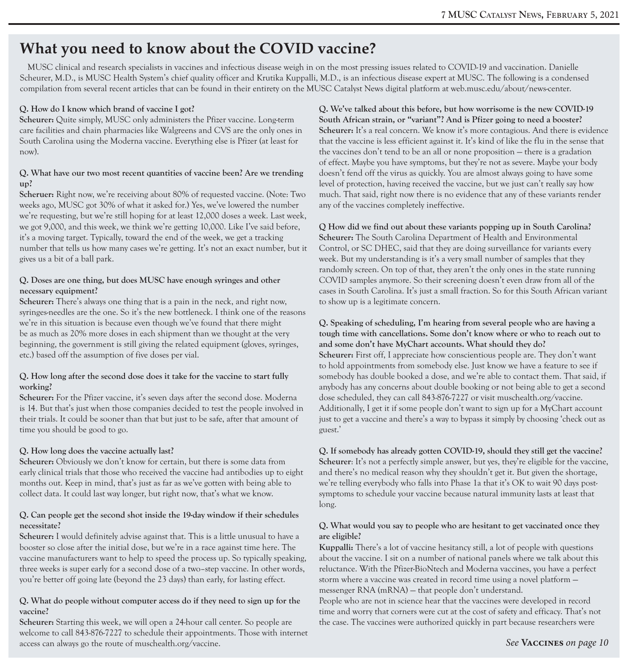## **What you need to know about the COVID vaccine?**

MUSC clinical and research specialists in vaccines and infectious disease weigh in on the most pressing issues related to COVID-19 and vaccination. Danielle Scheurer, M.D., is MUSC Health System's chief quality officer and Krutika Kuppalli, M.D., is an infectious disease expert at MUSC. The following is a condensed compilation from several recent articles that can be found in their entirety on the MUSC Catalyst News digital platform at web.musc.edu/about/news-center.

### **Q. How do I know which brand of vaccine I got?**

**Scheurer:** Quite simply, MUSC only administers the Pfizer vaccine. Long-term care facilities and chain pharmacies like Walgreens and CVS are the only ones in South Carolina using the Moderna vaccine. Everything else is Pfizer (at least for now).

### **Q. What have our two most recent quantities of vaccine been? Are we trending up?**

**Scheruer:** Right now, we're receiving about 80% of requested vaccine. (Note: Two weeks ago, MUSC got 30% of what it asked for.) Yes, we've lowered the number we're requesting, but we're still hoping for at least 12,000 doses a week. Last week, we got 9,000, and this week, we think we're getting 10,000. Like I've said before, it's a moving target. Typically, toward the end of the week, we get a tracking number that tells us how many cases we're getting. It's not an exact number, but it gives us a bit of a ball park.

### **Q. Doses are one thing, but does MUSC have enough syringes and other necessary equipment?**

**Scheurer:** There's always one thing that is a pain in the neck, and right now, syringes-needles are the one. So it's the new bottleneck. I think one of the reasons we're in this situation is because even though we've found that there might be as much as 20% more doses in each shipment than we thought at the very beginning, the government is still giving the related equipment (gloves, syringes, etc.) based off the assumption of five doses per vial.

### **Q. How long after the second dose does it take for the vaccine to start fully working?**

**Scheurer:** For the Pfizer vaccine, it's seven days after the second dose. Moderna is 14. But that's just when those companies decided to test the people involved in their trials. It could be sooner than that but just to be safe, after that amount of time you should be good to go.

### **Q. How long does the vaccine actually last?**

**Scheurer:** Obviously we don't know for certain, but there is some data from early clinical trials that those who received the vaccine had antibodies up to eight months out. Keep in mind, that's just as far as we've gotten with being able to collect data. It could last way longer, but right now, that's what we know.

### **Q. Can people get the second shot inside the 19-day window if their schedules necessitate?**

**Scheurer:** I would definitely advise against that. This is a little unusual to have a booster so close after the initial dose, but we're in a race against time here. The vaccine manufacturers want to help to speed the process up. So typically speaking, three weeks is super early for a second dose of a two–step vaccine. In other words, you're better off going late (beyond the 23 days) than early, for lasting effect.

### **Q. What do people without computer access do if they need to sign up for the vaccine?**

**Scheurer:** Starting this week, we will open a 24-hour call center. So people are welcome to call 843-876-7227 to schedule their appointments. Those with internet access can always go the route of muschealth.org/vaccine.

**Q. We've talked about this before, but how worrisome is the new COVID-19 South African strain, or "variant"? And is Pfizer going to need a booster?**  Scheurer: It's a real concern. We know it's more contagious. And there is evidence that the vaccine is less efficient against it. It's kind of like the flu in the sense that the vaccines don't tend to be an all or none proposition — there is a gradation of effect. Maybe you have symptoms, but they're not as severe. Maybe your body doesn't fend off the virus as quickly. You are almost always going to have some level of protection, having received the vaccine, but we just can't really say how much. That said, right now there is no evidence that any of these variants render any of the vaccines completely ineffective.

### **Q How did we find out about these variants popping up in South Carolina?**

**Scheurer:** The South Carolina Department of Health and Environmental Control, or SC DHEC, said that they are doing surveillance for variants every week. But my understanding is it's a very small number of samples that they randomly screen. On top of that, they aren't the only ones in the state running COVID samples anymore. So their screening doesn't even draw from all of the cases in South Carolina. It's just a small fraction. So for this South African variant to show up is a legitimate concern.

### **Q. Speaking of scheduling, I'm hearing from several people who are having a tough time with cancellations. Some don't know where or who to reach out to and some don't have MyChart accounts. What should they do?**

**Scheurer:** First off, I appreciate how conscientious people are. They don't want to hold appointments from somebody else. Just know we have a feature to see if somebody has double booked a dose, and we're able to contact them. That said, if anybody has any concerns about double booking or not being able to get a second dose scheduled, they can call 843-876-7227 or visit muschealth.org/vaccine. Additionally, I get it if some people don't want to sign up for a MyChart account just to get a vaccine and there's a way to bypass it simply by choosing 'check out as guest.'

### **Q. If somebody has already gotten COVID-19, should they still get the vaccine?**  Scheurer: It's not a perfectly simple answer, but yes, they're eligible for the vaccine, and there's no medical reason why they shouldn't get it. But given the shortage, we're telling everybody who falls into Phase 1a that it's OK to wait 90 days postsymptoms to schedule your vaccine because natural immunity lasts at least that long.

### **Q. What would you say to people who are hesitant to get vaccinated once they are eligible?**

**Kuppalli:** There's a lot of vaccine hesitancy still, a lot of people with questions about the vaccine. I sit on a number of national panels where we talk about this reluctance. With the Pfizer-BioNtech and Moderna vaccines, you have a perfect storm where a vaccine was created in record time using a novel platform messenger RNA (mRNA) — that people don't understand.

People who are not in science hear that the vaccines were developed in record time and worry that corners were cut at the cost of safety and efficacy. That's not the case. The vaccines were authorized quickly in part because researchers were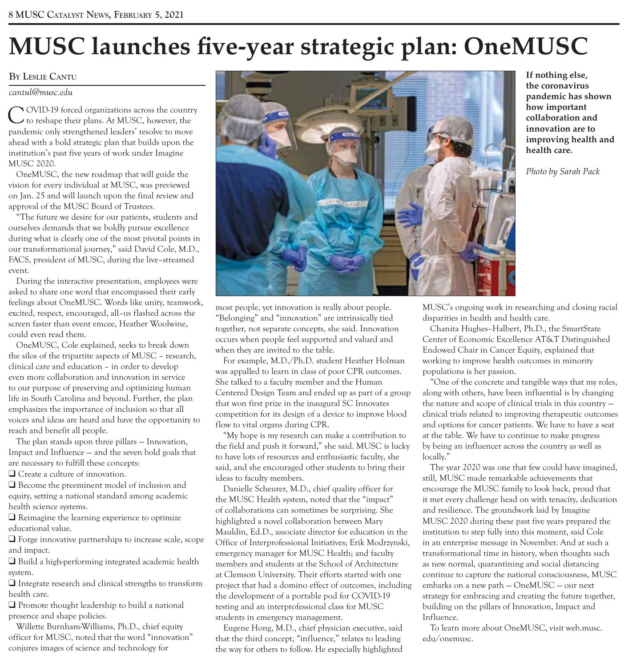# **MUSC launches five-year strategic plan: OneMUSC**

### **BY LESLIE CANTU**

### *cantul@musc.edu*

COVID-19 forced organizations across the country to reshape their plans. At MUSC, however, the pandemic only strengthened leaders' resolve to move ahead with a bold strategic plan that builds upon the institution's past five years of work under Imagine MUSC 2020.

OneMUSC, the new roadmap that will guide the vision for every individual at MUSC, was previewed on Jan. 25 and will launch upon the final review and approval of the MUSC Board of Trustees.

"The future we desire for our patients, students and ourselves demands that we boldly pursue excellence during what is clearly one of the most pivotal points in our transformational journey," said David Cole, M.D., FACS, president of MUSC, during the live–streamed event.

During the interactive presentation, employees were asked to share one word that encompassed their early feelings about OneMUSC. Words like unity, teamwork, excited, respect, encouraged, all–us flashed across the screen faster than event emcee, Heather Woolwine, could even read them.

OneMUSC, Cole explained, seeks to break down the silos of the tripartite aspects of MUSC – research, clinical care and education – in order to develop even more collaboration and innovation in service to our purpose of preserving and optimizing human life in South Carolina and beyond. Further, the plan emphasizes the importance of inclusion so that all voices and ideas are heard and have the opportunity to reach and benefit all people.

The plan stands upon three pillars — Innovation, Impact and Influence — and the seven bold goals that are necessary to fulfill these concepts:

 $\Box$  Create a culture of innovation.

 $\Box$  Become the preeminent model of inclusion and equity, setting a national standard among academic health science systems.

 $\Box$  Reimagine the learning experience to optimize educational value.

 $\Box$  Forge innovative partnerships to increase scale, scope and impact.

 $\Box$  Build a high-performing integrated academic health system.

 $\Box$  Integrate research and clinical strengths to transform health care.

 $\Box$  Promote thought leadership to build a national presence and shape policies.

Willette Burnham-Williams, Ph.D., chief equity officer for MUSC, noted that the word "innovation" conjures images of science and technology for



**If nothing else, the coronavirus pandemic has shown how important collaboration and innovation are to improving health and health care.** 

*Photo by Sarah Pack* 

most people, yet innovation is really about people. "Belonging" and "innovation" are intrinsically tied together, not separate concepts, she said. Innovation occurs when people feel supported and valued and when they are invited to the table.

For example, M.D./Ph.D. student Heather Holman was appalled to learn in class of poor CPR outcomes. She talked to a faculty member and the Human Centered Design Team and ended up as part of a group that won first prize in the inaugural SC Innovates competition for its design of a device to improve blood flow to vital organs during CPR.

"My hope is my research can make a contribution to the field and push it forward," she said. MUSC is lucky to have lots of resources and enthusiastic faculty, she said, and she encouraged other students to bring their ideas to faculty members.

Danielle Scheurer, M.D., chief quality officer for the MUSC Health system, noted that the "impact" of collaborations can sometimes be surprising. She highlighted a novel collaboration between Mary Mauldin, Ed.D., associate director for education in the Office of Interprofessional Initiatives; Erik Modrzynski, emergency manager for MUSC Health; and faculty members and students at the School of Architecture at Clemson University. Their efforts started with one project that had a domino effect of outcomes, including the development of a portable pod for COVID-19 testing and an interprofessional class for MUSC students in emergency management.

Eugene Hong, M.D., chief physician executive, said that the third concept, "influence," relates to leading the way for others to follow. He especially highlighted MUSC's ongoing work in researching and closing racial disparities in health and health care.

Chanita Hughes–Halbert, Ph.D., the SmartState Center of Economic Excellence AT&T Distinguished Endowed Chair in Cancer Equity, explained that working to improve health outcomes in minority populations is her passion.

"One of the concrete and tangible ways that my roles, along with others, have been influential is by changing the nature and scope of clinical trials in this country clinical trials related to improving therapeutic outcomes and options for cancer patients. We have to have a seat at the table. We have to continue to make progress by being an influencer across the country as well as locally."

The year 2020 was one that few could have imagined, still, MUSC made remarkable achievements that encourage the MUSC family to look back, proud that it met every challenge head on with tenacity, dedication and resilience. The groundwork laid by Imagine MUSC 2020 during these past five years prepared the institution to step fully into this moment, said Cole in an enterprise message in November. And at such a transformational time in history, when thoughts such as new normal, quarantining and social distancing continue to capture the national consciousness, MUSC embarks on a new path — OneMUSC — our next strategy for embracing and creating the future together, building on the pillars of Innovation, Impact and Influence.

To learn more about OneMUSC, visit web.musc. edu/onemusc.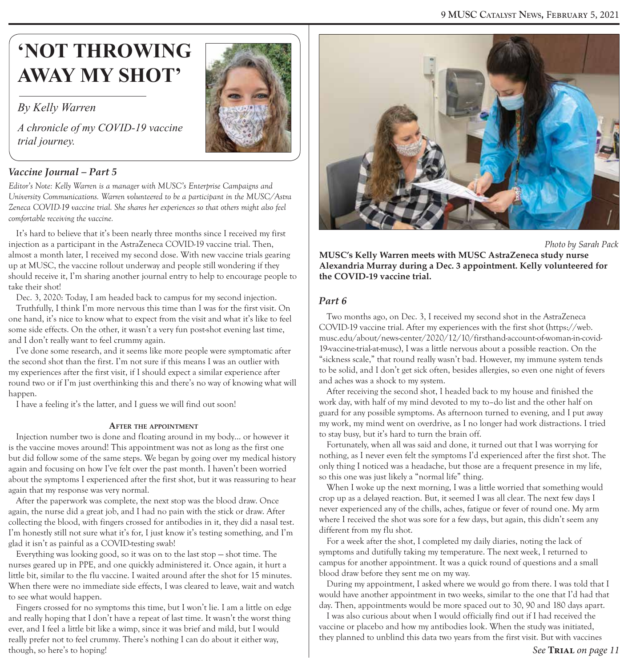# **'NOT THROWING AWAY MY SHOT'**

### *By Kelly Warren*

*A chronicle of my COVID-19 vaccine trial journey.*



### *Vaccine Journal – Part 5*

*Editor's Note: Kelly Warren is a manager with MUSC's Enterprise Campaigns and University Communications. Warren volunteered to be a participant in the MUSC/Astra Zeneca COVID-19 vaccine trial. She shares her experiences so that others might also feel comfortable receiving the vaccine.* 

It's hard to believe that it's been nearly three months since I received my first injection as a participant in the AstraZeneca COVID-19 vaccine trial. Then, almost a month later, I received my second dose. With new vaccine trials gearing up at MUSC, the vaccine rollout underway and people still wondering if they should receive it, I'm sharing another journal entry to help to encourage people to take their shot!

Dec. 3, 2020: Today, I am headed back to campus for my second injection.

Truthfully, I think I'm more nervous this time than I was for the first visit. On one hand, it's nice to know what to expect from the visit and what it's like to feel some side effects. On the other, it wasn't a very fun post-shot evening last time, and I don't really want to feel crummy again.

I've done some research, and it seems like more people were symptomatic after the second shot than the first. I'm not sure if this means I was an outlier with my experiences after the first visit, if I should expect a similar experience after round two or if I'm just overthinking this and there's no way of knowing what will happen.

I have a feeling it's the latter, and I guess we will find out soon!

### **AFTER THE APPOINTMENT**

Injection number two is done and floating around in my body… or however it is the vaccine moves around! This appointment was not as long as the first one but did follow some of the same steps. We began by going over my medical history again and focusing on how I've felt over the past month. I haven't been worried about the symptoms I experienced after the first shot, but it was reassuring to hear again that my response was very normal.

After the paperwork was complete, the next stop was the blood draw. Once again, the nurse did a great job, and I had no pain with the stick or draw. After collecting the blood, with fingers crossed for antibodies in it, they did a nasal test. I'm honestly still not sure what it's for, I just know it's testing something, and I'm glad it isn't as painful as a COVID-testing swab!

Everything was looking good, so it was on to the last stop — shot time. The nurses geared up in PPE, and one quickly administered it. Once again, it hurt a little bit, similar to the flu vaccine. I waited around after the shot for 15 minutes. When there were no immediate side effects, I was cleared to leave, wait and watch to see what would happen.

Fingers crossed for no symptoms this time, but I won't lie. I am a little on edge and really hoping that I don't have a repeat of last time. It wasn't the worst thing ever, and I feel a little bit like a wimp, since it was brief and mild, but I would really prefer not to feel crummy. There's nothing I can do about it either way, though, so here's to hoping!



 *Photo by Sarah Pack*

**MUSC's Kelly Warren meets with MUSC AstraZeneca study nurse Alexandria Murray during a Dec. 3 appointment. Kelly volunteered for the COVID-19 vaccine trial.** 

### *Part 6*

Two months ago, on Dec. 3, I received my second shot in the AstraZeneca COVID-19 vaccine trial. After my experiences with the first shot (https://web. musc.edu/about/news-center/2020/12/10/firsthand-account-of-woman-in-covid-19-vaccine-trial-at-musc), I was a little nervous about a possible reaction. On the "sickness scale," that round really wasn't bad. However, my immune system tends to be solid, and I don't get sick often, besides allergies, so even one night of fevers and aches was a shock to my system.

After receiving the second shot, I headed back to my house and finished the work day, with half of my mind devoted to my to–do list and the other half on guard for any possible symptoms. As afternoon turned to evening, and I put away my work, my mind went on overdrive, as I no longer had work distractions. I tried to stay busy, but it's hard to turn the brain off.

Fortunately, when all was said and done, it turned out that I was worrying for nothing, as I never even felt the symptoms I'd experienced after the first shot. The only thing I noticed was a headache, but those are a frequent presence in my life, so this one was just likely a "normal life" thing.

When I woke up the next morning, I was a little worried that something would crop up as a delayed reaction. But, it seemed I was all clear. The next few days I never experienced any of the chills, aches, fatigue or fever of round one. My arm where I received the shot was sore for a few days, but again, this didn't seem any different from my flu shot.

For a week after the shot, I completed my daily diaries, noting the lack of symptoms and dutifully taking my temperature. The next week, I returned to campus for another appointment. It was a quick round of questions and a small blood draw before they sent me on my way.

During my appointment, I asked where we would go from there. I was told that I would have another appointment in two weeks, similar to the one that I'd had that day. Then, appointments would be more spaced out to 30, 90 and 180 days apart.

I was also curious about when I would officially find out if I had received the vaccine or placebo and how my antibodies look. When the study was initiated, they planned to unblind this data two years from the first visit. But with vaccines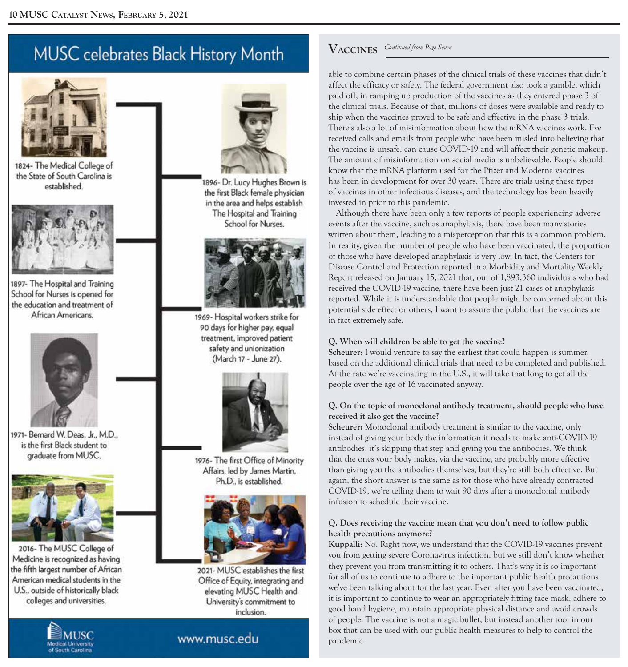## MUSC celebrates Black History Month



1824- The Medical College of the State of South Carolina is established.



1897- The Hospital and Training School for Nurses is opened for the education and treatment of African Americans.



1971- Bernard W. Deas. Jr., M.D., is the first Black student to graduate from MUSC.



2016- The MUSC College of Medicine is recognized as having the fifth largest number of African American medical students in the U.S., outside of historically black colleges and universities.





1896- Dr. Lucy Hughes Brown is the first Black female physician in the area and helps establish The Hospital and Training School for Nurses.



1969- Hospital workers strike for 90 days for higher pay, equal treatment, improved patient safety and unionization (March 17 - June 27).



1976- The first Office of Minority Affairs, led by James Martin. Ph.D., is established.



2021- MUSC establishes the first Office of Equity, integrating and elevating MUSC Health and University's commitment to inclusion.

## www.musc.edu

## $V$ **ACCINES** Continued from Page Seven

able to combine certain phases of the clinical trials of these vaccines that didn't affect the efficacy or safety. The federal government also took a gamble, which paid off, in ramping up production of the vaccines as they entered phase 3 of the clinical trials. Because of that, millions of doses were available and ready to ship when the vaccines proved to be safe and effective in the phase 3 trials. There's also a lot of misinformation about how the mRNA vaccines work. I've received calls and emails from people who have been misled into believing that the vaccine is unsafe, can cause COVID-19 and will affect their genetic makeup. The amount of misinformation on social media is unbelievable. People should know that the mRNA platform used for the Pfizer and Moderna vaccines has been in development for over 30 years. There are trials using these types of vaccines in other infectious diseases, and the technology has been heavily invested in prior to this pandemic.

Although there have been only a few reports of people experiencing adverse events after the vaccine, such as anaphylaxis, there have been many stories written about them, leading to a misperception that this is a common problem. In reality, given the number of people who have been vaccinated, the proportion of those who have developed anaphylaxis is very low. In fact, the Centers for Disease Control and Protection reported in a Morbidity and Mortality Weekly Report released on January 15, 2021 that, out of 1,893,360 individuals who had received the COVID-19 vaccine, there have been just 21 cases of anaphylaxis reported. While it is understandable that people might be concerned about this potential side effect or others, I want to assure the public that the vaccines are in fact extremely safe.

### **Q. When will children be able to get the vaccine?**

**Scheurer:** I would venture to say the earliest that could happen is summer, based on the additional clinical trials that need to be completed and published. At the rate we're vaccinating in the U.S., it will take that long to get all the people over the age of 16 vaccinated anyway.

### **Q. On the topic of monoclonal antibody treatment, should people who have received it also get the vaccine?**

**Scheurer:** Monoclonal antibody treatment is similar to the vaccine, only instead of giving your body the information it needs to make anti-COVID-19 antibodies, it's skipping that step and giving you the antibodies. We think that the ones your body makes, via the vaccine, are probably more effective than giving you the antibodies themselves, but they're still both effective. But again, the short answer is the same as for those who have already contracted COVID-19, we're telling them to wait 90 days after a monoclonal antibody infusion to schedule their vaccine.

### **Q. Does receiving the vaccine mean that you don't need to follow public health precautions anymore?**

**Kuppalli:** No. Right now, we understand that the COVID-19 vaccines prevent you from getting severe Coronavirus infection, but we still don't know whether they prevent you from transmitting it to others. That's why it is so important for all of us to continue to adhere to the important public health precautions we've been talking about for the last year. Even after you have been vaccinated, it is important to continue to wear an appropriately fitting face mask, adhere to good hand hygiene, maintain appropriate physical distance and avoid crowds of people. The vaccine is not a magic bullet, but instead another tool in our box that can be used with our public health measures to help to control the pandemic.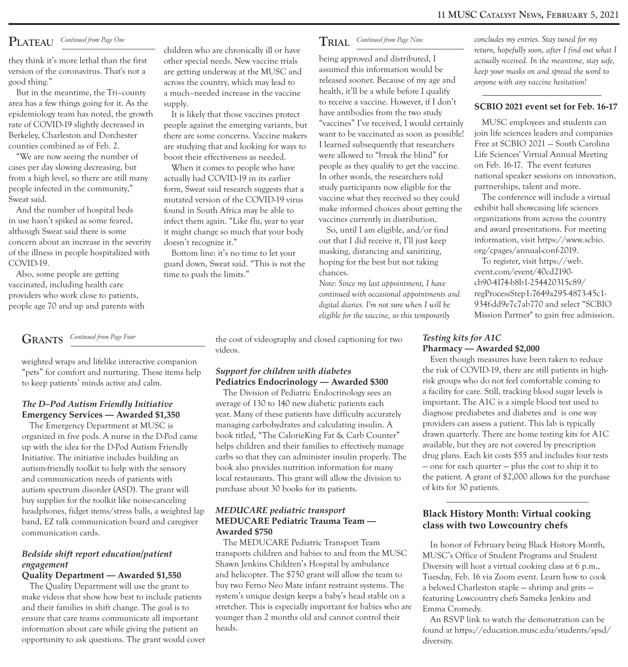### PLATEAU

area has a few things going for it. As the supply. to receive a vaccine. However, if I don't<br>epidemiology team has noted, the growth It is likely that those vaccines protect have antibodies from the two study epidemiology team has noted, the growth

in use hasn't spiked as some feared, infect them again. "Like flu, year to year vaccines currently in distribution. organizations from across the country in use hasn't spiked as some intertions in the country solution. The although Sweat said there is some it might change so much that your body So, until I am eligible, and/or find and award presentations. For meeting<br>concern about an increase in the severity doesn't recognize it." out that I concern about an increase in the severity doesn't recognize it." out that I did receive it, I'll just keep information, visit https://www.<br>Of the illness in people hospitalized with Bottom line: it's no time to let your ma of the illness in people hospitalized with Bottom line: it's no time to let your masking, distancing and sanitizing, org/cpages/annual-conf-2019.<br>COVID-19. To register, visit https://web.

Also, some people are getting time to push the limits." chances. chances cvent.com/event/40cd2190-<br>Note: Since my last appointment. I have cb90-4174-b8b1-254420315c89/

GRANTS Continued from Page Four

pets" for comfort and nurturing. These items help **Support for children with diabetes** the risk of COVID-19, there are still patients in high-<br>to keep patients' minds active and calm **Pediatrics Endocrinology — Awarded \$30** to keep patients' minds active and calm. **Pediatrics Endocrinology — Awarded \$300** 

autism spectrum disorder (ASD). The grant will buy supplies for the toolkit like noise-canceling headphones, fidget items/stress balls, a weighted lap MEDUCARE pediatric transport<br>band, EZ talk communication board and caregiver MEDUCARE Pediatric Trauma Team — communication cards. Awarded \$750

opportunity to ask questions. The grant would cover diversity.

But in the meantime, the Tri–county a much–needed increase in the vaccine health, it'll be a while before I qualify<br>ea has a few things going for it. As the sunnly to receive a vaccine. However, if I don't

rate of COVID-19 slightly decreased in people against the emerging variants, but "vaccines" I've received, I would certainly MUSC employees and students can<br>Berkeley Charleston and Dorchester there are some concerns. Vacci Berkeley, Charleston and Dorchester there are some concerns. Vaccine makers want to be vaccinated as soon as possible! join life sciences leaders and companies<br>counties combined as of Feb 2 are studying that and looking fo counties combined as of Feb. 2. are studying that and looking for ways to I learned subsequently that researchers Free at SCBIO 2021 – South Carolina<br>We are now seeing the number of a heart heir effectiveness as peeded wer

COVID-19. guard down, Sweat said. "This is not the hoping for the best but not taking To register, visit https://w<br>Also some people are getting to puck the limits "chances. com/event/40cd2190-

they think it's more lethal than the first other special needs. New vaccine trials being approved and distributed, I *actually received. In the meantime, stay safe, being the special new the MISC and* assumed this inform version of the coronavirus. That's not a are getting underway at the MUSC and assumed this information would be *keep your masks on and spread the word to social* to *seep your masks on and spread the word to second* t good thing." across the country, which may lead to released sooner. Because of my age and *anyone with any vaccine hesitation!*<br>But in the meantime the Tri-county a much-needed increase in the vaccine health, it'll be a wh We are now seeing the number of boost their effectiveness as needed. We were allowed to "break the blind" for Life Sciences' Virtual Annual Meeting to the vacance on Feb. 16-17. The event features cases per day slowing decreasing, but When it comes to people who have people as they qualify to get the vaccine. on Feb. 16-17. The event features<br>from a high level so there are still many actually had COVID-19 in its ear In other words, the researchers told national speaker sessions on in<br>In other words, the researchers told national speaker sessions on innovation, the searchers to the partnerships, talent and more. people infected in the community," form, Sweat said research suggests that a study participants now eligible for the partnerships, talent and more.<br>Sweat said Sweat said. mutated version of the COVID-19 virus vaccine what they received so they could The conference will include a virt<br>And the number of hospital beds found in South Africa may be able to make informed choices about Found in South Africa may be able to make informed choices about getting the exhibit hall showcasing life sciences<br>infect them again. "I ike flu year to year vaccines currently in distribution. organizations from across th

vaccinated, including health care *particles of the continued with accemy last appointment, I have* the continued with accept and the continued with acceptor of the continued with acceptor of the continued with acceptor of providers who work close to patients, *continued with occasional appointments and* regProcessStep1:7649a295-4873-45c1 people age 70 and up and parents with *digital diaries. I'm not sure when I will be 934f-digital diaries. I'm not sure when I will be*  $q$  *digital diaries. I'm not sure when I will be*  $q$  *eligible for the vaccine, so* 

the cost of videography and closed captioning for two *Testing kits for A1C* videos. **Pharmacy** — Award

**The D–Pod Autism Friendly Initiative** average of 130 to 140 new diabetic patients each important. The A1C is a simple blood test used to a simple blood test used to a simple blood test used to a simple blood test used to **Emergency Services — Awarded \$1,350** *year. Many of these patients have difficulty accurately* diagnose prediabetes and diabetes and is one way<br>The Emergency Department at MUSC is managing carbohydrates and calculating in The Emergency Department at MUSC is managing carbohydrates and calculating insulin. A providers can assess a patient. This lab is typically<br>canized in five pods. A purse in the D Pod came, book titled "The CalorieKing Fat organized in five pods. A nurse in the D-Pod came book titled, "The CalorieKing Fat & Carb Counter" drawn quarterly. There are home testing kits for A<br>un with the idea for the D-Pod Autism Friendly helps children and their up with the idea for the D-Pod Autism Friendly helps children and their families to effectively manage available, but they are not covered by prescription<br>Initiative The initiative includes building an carbs so that they c Initiative. The initiative includes building an carbs so that they can administer insulin properly. The autism-friendly toolkit to help with the sensory book also provides nutrition information for many autism-friendly toolkit to help with the sensory book also provides nutrition information for many — one for each quarter — plus the cost to ship it to and communication needs of patients with local restaurants. This grant will allow the division to the patient. A grant of \$2,000 allows for the purchase about 30 books for its patients.

The MEDUCARE Pediatric Transport Team In honor of February being Black History Month,<br>transports children and babies to and from the MUSC MISC's Office of Student Programs and Student *Bedside shift report education/patient* transports children and babies to and from the MUSC MUSC's Office of Student Programs and Student Shawn Jenkins Children's Hospital by ambulance Diversity will bost a virtual cookin engagement<br>**Ouality Department — Awarded \$1,550** and helicopter. The \$750 grant will allow the team to Tuesday. Feb. 16 via Zoom event. Learn how to coo **Quality Department — Awarded \$1,550** and helicopter. The \$750 grant will allow the team to Tuesday, Feb. 16 via Zoom event. Learn how to cook The Quality Department will use the grant to buy two Ferno Neo Mate infant rest buy two Ferno Neo Mate infant restraint systems. The a beloved Charleston staple – shrimp and grits –<br>system's unique design keeps a baby's head stable on a a section of owner vehets Sameka Jenkins and make videos that show how best to include patients system's unique design keeps a baby's head stable on a featuring Lowcountry chefs Sameka Jenkins and and their families in shift change. The goal is to stretcher. This is stretcher. This is especially important for babies who are  $\frac{1}{2}$  Emma Cromedy. No stretcher. This is to stretcher. ensure that care teams communicate all important younger than 2 months old and cannot control their An RSVP link to watch the demonstration can be<br>information about care while giving the patient an heads.

*Continued from Page One* children who are chronically ill or have *TRIAL Continued from Page Nine concludes my entries. Stay tuned for my concludes my entries. Stay tuned for my concludes my entries. Stay tuned* children who characterized and distributed, I return, hopefully soon, after I find out what I being approved and distributed, I

*Mission Partner*" to gain free admission.

## Pharmacy — Awarded \$2,000

weighted wraps and lifelike interactive companion<br>"bets" for comfort and nurturing. These items help **Support for children with diabetes** the risk of COVID-19, there are still patients in high-The Division of Pediatric Endocrinology sees an a facility for care. Still, tracking blood sugar levels is<br>
The A1C is a simple blood test used to

found at https://education.musc.edu/students/spsd/